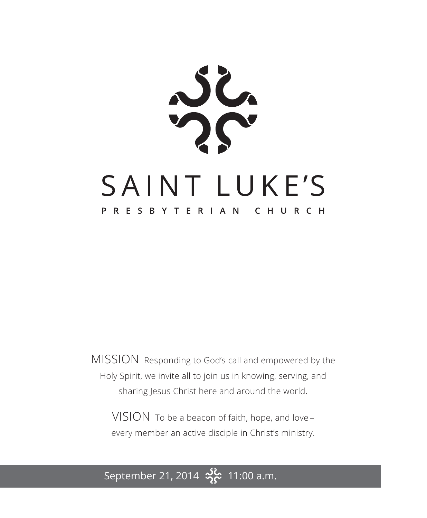$36.$ SAINT LUKE'S PRESBYTERIAN CHURCH

MISSION Responding to God's call and empowered by the Holy Spirit, we invite all to join us in knowing, serving, and sharing Jesus Christ here and around the world.

VISION To be a beacon of faith, hope, and love – every member an active disciple in Christ's ministry.

September 21, 2014  $\frac{36}{2}$  11:00 a.m.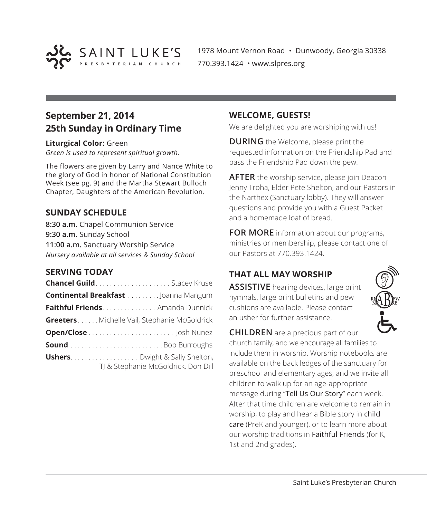

1978 Mount Vernon Road • Dunwoody, Georgia 30338 770.393.1424 • www.slpres.org

## **September 21, 2014 25th Sunday in Ordinary Time**

**Liturgical Color:** Green

*Green is used to represent spiritual growth.* 

The flowers are given by Larry and Nance White to the glory of God in honor of National Constitution Week (see pg. 9) and the Martha Stewart Bulloch Chapter, Daughters of the American Revolution.

#### **SUNDAY SCHEDULE**

**8:30 a.m.** Chapel Communion Service **9:30 a.m.** Sunday School **11:00 a.m.** Sanctuary Worship Service *Nursery available at all services & Sunday School*

#### **SERVING TODAY**

| <b>Chancel Guild</b> Stacey Kruse            |                                     |
|----------------------------------------------|-------------------------------------|
| <b>Continental Breakfast </b> Joanna Mangum  |                                     |
| <b>Faithful Friends</b> Amanda Dunnick       |                                     |
| Greeters Michelle Vail, Stephanie McGoldrick |                                     |
| Open/Close  Josh Nunez                       |                                     |
|                                              |                                     |
| <b>Ushers</b> Dwight & Sally Shelton,        | TJ & Stephanie McGoldrick, Don Dill |

#### **WELCOME, GUESTS!**

We are delighted you are worshiping with us!

**DURING** the Welcome, please print the requested information on the Friendship Pad and pass the Friendship Pad down the pew.

**AFTER** the worship service, please join Deacon Jenny Troha, Elder Pete Shelton, and our Pastors in the Narthex (Sanctuary lobby). They will answer questions and provide you with a Guest Packet and a homemade loaf of bread.

**FOR MORE** information about our programs, ministries or membership, please contact one of our Pastors at 770.393.1424.

#### **THAT ALL MAY WORSHIP**

**ASSISTIVE** hearing devices, large print hymnals, large print bulletins and pew cushions are available. Please contact an usher for further assistance.



**CHILDREN** are a precious part of our church family, and we encourage all families to include them in worship. Worship notebooks are available on the back ledges of the sanctuary for preschool and elementary ages, and we invite all children to walk up for an age-appropriate message during "Tell Us Our Story" each week. After that time children are welcome to remain in worship, to play and hear a Bible story in child care (PreK and younger), or to learn more about our worship traditions in Faithful Friends (for K, 1st and 2nd grades).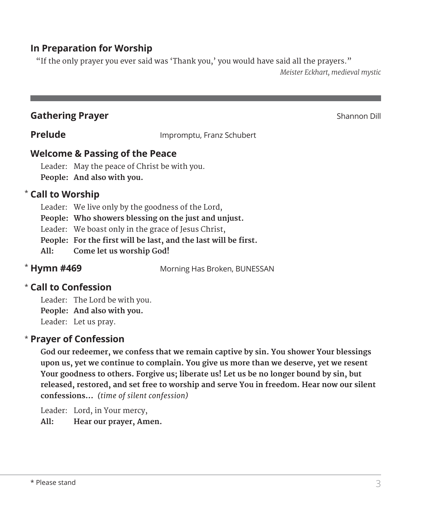#### **In Preparation for Worship**

"If the only prayer you ever said was 'Thank you,' you would have said all the prayers."

*Meister Eckhart, medieval mystic* 

#### **Gathering Prayer** Shannon Dill

**Prelude Impromptu, Franz Schubert** 

#### **Welcome & Passing of the Peace**

Leader: May the peace of Christ be with you. **People: And also with you.**

#### **Call to Worship**  \*

Leader: We live only by the goodness of the Lord,

**People: Who showers blessing on the just and unjust.**

Leader: We boast only in the grace of Jesus Christ,

 **People: For the first will be last, and the last will be first.**

**All: Come let us worship God!**

#### \* Hymn #469

**Morning Has Broken, BUNESSAN** 

#### **Call to Confession**  \*

Leader: The Lord be with you. **People: And also with you.** Leader: Let us pray.

#### **Prayer of Confession**  \*

**God our redeemer, we confess that we remain captive by sin. You shower Your blessings upon us, yet we continue to complain. You give us more than we deserve, yet we resent Your goodness to others. Forgive us; liberate us! Let us be no longer bound by sin, but released, restored, and set free to worship and serve You in freedom. Hear now our silent confessions…** *(time of silent confession)*

Leader: Lord, in Your mercy,

 **All: Hear our prayer, Amen.**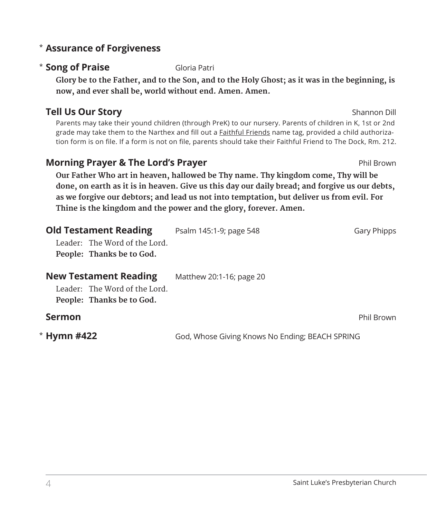#### 4 Saint Luke's Presbyterian Church

#### **Assurance of Forgiveness** \*

#### **\* Song of Praise** Gloria Patri

Glory be to the Father, and to the Son, and to the Holy Ghost; as it was in the beginning, is **now, and ever shall be, world without end. Amen. Amen.**

#### **Tell Us Our Story** Shannon Dill

 Parents may take their yound children (through PreK) to our nursery. Parents of children in K, 1st or 2nd grade may take them to the Narthex and fill out a Faithful Friends name tag, provided a child authorization form is on file. If a form is not on file, parents should take their Faithful Friend to The Dock, Rm. 212.

#### **Morning Prayer & The Lord's Prayer Phil Brown Phil Brown**

**Our Father Who art in heaven, hallowed be Thy name. Thy kingdom come, Thy will be** done, on earth as it is in heaven. Give us this day our daily bread; and forgive us our debts, **as we forgive our debtors; and lead us not into temptation, but deliver us from evil. For Thine is the kingdom and the power and the glory, forever. Amen.**

| <b>Old Testament Reading</b><br>Leader: The Word of the Lord.<br>People: Thanks be to God. | Psalm 145:1-9; page 548                         | Gary Phipps |
|--------------------------------------------------------------------------------------------|-------------------------------------------------|-------------|
| <b>New Testament Reading</b><br>Leader: The Word of the Lord.<br>People: Thanks be to God. | Matthew 20:1-16; page 20                        |             |
| <b>Sermon</b>                                                                              |                                                 | Phil Brown  |
| * Hymn #422                                                                                | God, Whose Giving Knows No Ending; BEACH SPRING |             |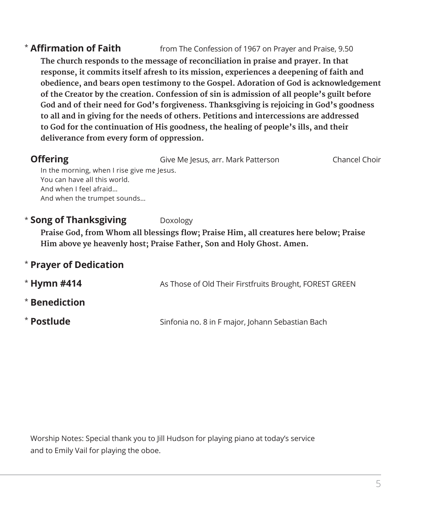#### \* **Affirmation of Faith** from The Confession of 1967 on Prayer and Praise, 9.50

**The church responds to the message of reconciliation in praise and prayer. In that response, it commits itself afresh to its mission, experiences a deepening of faith and obedience, and bears open testimony to the Gospel. Adoration of God is acknowledgement of the Creator by the creation. Confession of sin is admission of all people's guilt before God and of their need for God's forgiveness. Thanksgiving is rejoicing in God's goodness to all and in giving for the needs of others. Petitions and intercessions are addressed to God for the continuation of His goodness, the healing of people's ills, and their deliverance from every form of oppression.**

| <b>Offering</b>                            | Give Me Jesus, arr. Mark Patterson | Chancel Choir |
|--------------------------------------------|------------------------------------|---------------|
| In the morning, when I rise give me lesus. |                                    |               |
| You can have all this world.               |                                    |               |
| And when I feel afraid                     |                                    |               |
| And when the trumpet sounds                |                                    |               |
|                                            |                                    |               |

#### **\* Song of Thanksgiving** Doxology

**Praise God, from Whom all blessings flow; Praise Him, all creatures here below; Praise Him above ye heavenly host; Praise Father, Son and Holy Ghost. Amen.**

|  |  | * Prayer of Dedication |  |
|--|--|------------------------|--|
|  |  |                        |  |

| $*$ Hymn #414 | As Those of Old Their Firstfruits Brought, FOREST GREEN |
|---------------|---------------------------------------------------------|
| * Benediction |                                                         |
| * Postlude    | Sinfonia no. 8 in F major, Johann Sebastian Bach        |

Worship Notes: Special thank you to Jill Hudson for playing piano at today's service and to Emily Vail for playing the oboe.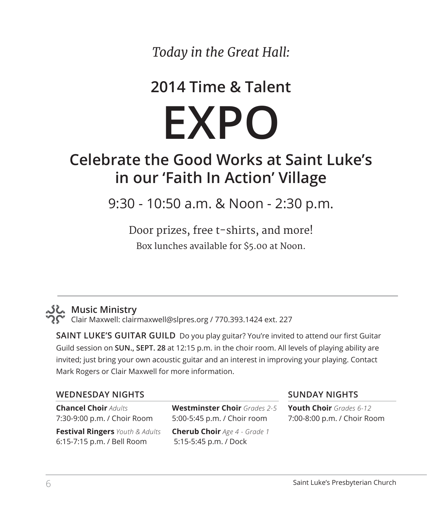*Today in the Great Hall:*

# **2014 Time & Talent**

**EXPO**

# **Celebrate the Good Works at Saint Luke's in our 'Faith In Action' Village**

9:30 - 10:50 a.m. & Noon - 2:30 p.m.

Door prizes, free t-shirts, and more! Box lunches available for \$5.00 at Noon.

## **Music Ministry**

Clair Maxwell: clairmaxwell@slpres.org / 770.393.1424 ext. 227

**SAINT LUKE'S GUITAR GUILD** Do you play guitar? You're invited to attend our first Guitar Guild session on **SUN., SEPT. 28** at 12:15 p.m. in the choir room. All levels of playing ability are invited; just bring your own acoustic guitar and an interest in improving your playing. Contact Mark Rogers or Clair Maxwell for more information.

#### **WEDNESDAY NIGHTS**

**Chancel Choir** *Adults* 7:30-9:00 p.m. / Choir Room

**Festival Ringers** *Youth & Adults*  6:15-7:15 p.m. / Bell Room

**Westminster Choir** *Grades 2-5* 5:00-5:45 p.m. / Choir room **Cherub Choir** *Age 4 - Grade 1* 5:15-5:45 p.m. / Dock

#### **SUNDAY NIGHTS**

**Youth Choir** *Grades 6-12* 7:00-8:00 p.m. / Choir Room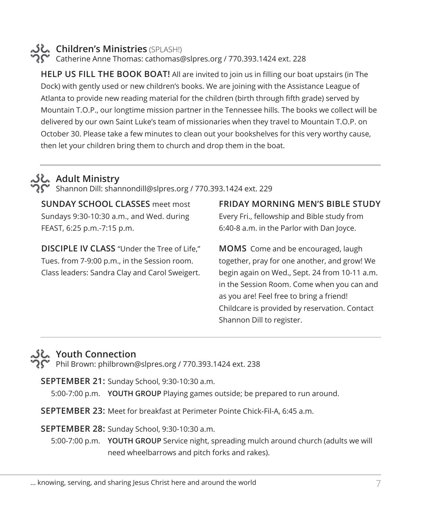### **Children's Ministries** (SPLASH!)

 $\widehat{\mathbf{C}}$  Catherine Anne Thomas: cathomas@slpres.org / 770.393.1424 ext. 228

**HELP US FILL THE BOOK BOAT!** All are invited to join us in filling our boat upstairs (in The Dock) with gently used or new children's books. We are joining with the Assistance League of Atlanta to provide new reading material for the children (birth through fifth grade) served by Mountain T.O.P., our longtime mission partner in the Tennessee hills. The books we collect will be delivered by our own Saint Luke's team of missionaries when they travel to Mountain T.O.P. on October 30. Please take a few minutes to clean out your bookshelves for this very worthy cause, then let your children bring them to church and drop them in the boat.

#### **Adult Ministry**

 $\sum$  Shannon Dill: shannondill@slpres.org / 770.393.1424 ext. 229

**SUNDAY SCHOOL CLASSES** meet most Sundays 9:30-10:30 a.m., and Wed. during FEAST, 6:25 p.m.-7:15 p.m.

**DISCIPLE IV CLASS** "Under the Tree of Life," Tues. from 7-9:00 p.m., in the Session room. Class leaders: Sandra Clay and Carol Sweigert. **FRIDAY MORNING MEN'S BIBLE STUDY**  Every Fri., fellowship and Bible study from 6:40-8 a.m. in the Parlor with Dan Joyce.

**MOMS** Come and be encouraged, laugh together, pray for one another, and grow! We begin again on Wed., Sept. 24 from 10-11 a.m. in the Session Room. Come when you can and as you are! Feel free to bring a friend! Childcare is provided by reservation. Contact Shannon Dill to register.

#### **Youth Connection**

**P** Phil Brown: philbrown@slpres.org / 770.393.1424 ext. 238

**SEPTEMBER 21:** Sunday School, 9:30-10:30 a.m.

5:00-7:00 p.m. **YOUTH GROUP** Playing games outside; be prepared to run around.

**SEPTEMBER 23:** Meet for breakfast at Perimeter Pointe Chick-Fil-A, 6:45 a.m.

**SEPTEMBER 28:** Sunday School, 9:30-10:30 a.m.

5:00-7:00 p.m. **YOUTH GROUP** Service night, spreading mulch around church (adults we will need wheelbarrows and pitch forks and rakes).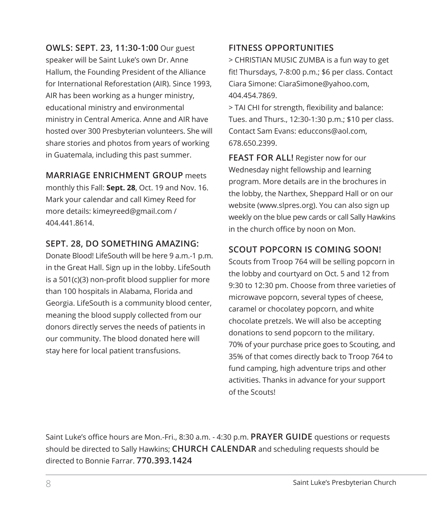**OWLS: SEPT. 23, 11:30-1:00** Our guest speaker will be Saint Luke's own Dr. Anne Hallum, the Founding President of the Alliance for International Reforestation (AIR). Since 1993, AIR has been working as a hunger ministry, educational ministry and environmental ministry in Central America. Anne and AIR have hosted over 300 Presbyterian volunteers. She will share stories and photos from years of working in Guatemala, including this past summer.

#### **MARRIAGE ENRICHMENT GROUP** meets

monthly this Fall: **Sept. 28**, Oct. 19 and Nov. 16. Mark your calendar and call Kimey Reed for more details: kimeyreed@gmail.com / 404.441.8614.

#### **SEPT. 28, DO SOMETHING AMAZING:**

Donate Blood! LifeSouth will be here 9 a.m.-1 p.m. in the Great Hall. Sign up in the lobby. LifeSouth is a 501(c)(3) non-profit blood supplier for more than 100 hospitals in Alabama, Florida and Georgia. LifeSouth is a community blood center, meaning the blood supply collected from our donors directly serves the needs of patients in our community. The blood donated here will stay here for local patient transfusions.

#### **FITNESS OPPORTUNITIES**

> CHRISTIAN MUSIC ZUMBA is a fun way to get fit! Thursdays, 7-8:00 p.m.; \$6 per class. Contact Ciara Simone: CiaraSimone@yahoo.com, 404.454.7869.

> TAI CHI for strength, flexibility and balance: Tues. and Thurs., 12:30-1:30 p.m.; \$10 per class. Contact Sam Evans: educcons@aol.com, 678.650.2399.

**FEAST FOR ALL!** Register now for our Wednesday night fellowship and learning program. More details are in the brochures in the lobby, the Narthex, Sheppard Hall or on our website (www.slpres.org). You can also sign up weekly on the blue pew cards or call Sally Hawkins in the church office by noon on Mon.

#### **SCOUT POPCORN IS COMING SOON!**

Scouts from Troop 764 will be selling popcorn in the lobby and courtyard on Oct. 5 and 12 from 9:30 to 12:30 pm. Choose from three varieties of microwave popcorn, several types of cheese, caramel or chocolatey popcorn, and white chocolate pretzels. We will also be accepting donations to send popcorn to the military. 70% of your purchase price goes to Scouting, and 35% of that comes directly back to Troop 764 to fund camping, high adventure trips and other activities. Thanks in advance for your support of the Scouts!

Saint Luke's office hours are Mon.-Fri., 8:30 a.m. - 4:30 p.m. **PRAYER GUIDE** questions or requests should be directed to Sally Hawkins; **CHURCH CALENDAR** and scheduling requests should be directed to Bonnie Farrar. **770.393.1424**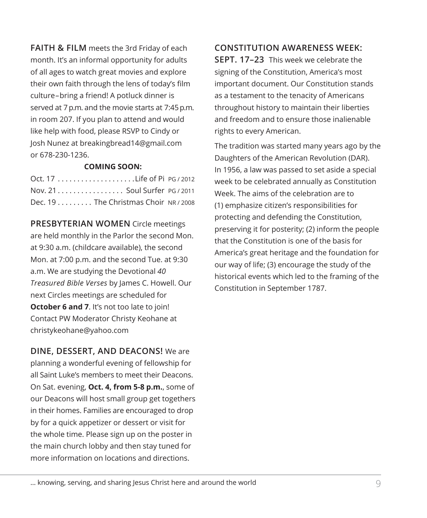**FAITH & FILM** meets the 3rd Friday of each month. It's an informal opportunity for adults of all ages to watch great movies and explore their own faith through the lens of today's film culture–bring a friend! A potluck dinner is served at 7 p.m. and the movie starts at 7:45 p.m. in room 207. If you plan to attend and would like help with food, please RSVP to Cindy or Josh Nunez at breakingbread14@gmail.com or 678-230-1236.

#### **COMING SOON:**

| Nov. 21 Soul Surfer PG / 2011         |  |
|---------------------------------------|--|
| Dec. $19$ The Christmas Choir NR/2008 |  |

**PRESBYTERIAN WOMEN** Circle meetings are held monthly in the Parlor the second Mon. at 9:30 a.m. (childcare available), the second Mon. at 7:00 p.m. and the second Tue. at 9:30 a.m. We are studying the Devotional *40 Treasured Bible Verses* by James C. Howell. Our next Circles meetings are scheduled for **October 6 and 7.** It's not too late to join! Contact PW Moderator Christy Keohane at christykeohane@yahoo.com

**DINE, DESSERT, AND DEACONS!** We are planning a wonderful evening of fellowship for all Saint Luke's members to meet their Deacons. On Sat. evening, **Oct. 4, from 5-8 p.m.**, some of our Deacons will host small group get togethers in their homes. Families are encouraged to drop by for a quick appetizer or dessert or visit for the whole time. Please sign up on the poster in the main church lobby and then stay tuned for more information on locations and directions.

**CONSTITUTION AWARENESS WEEK: SEPT. 17–23** This week we celebrate the signing of the Constitution, America's most important document. Our Constitution stands as a testament to the tenacity of Americans throughout history to maintain their liberties and freedom and to ensure those inalienable rights to every American.

The tradition was started many years ago by the Daughters of the American Revolution (DAR). In 1956, a law was passed to set aside a special week to be celebrated annually as Constitution Week. The aims of the celebration are to (1) emphasize citizen's responsibilities for protecting and defending the Constitution, preserving it for posterity; (2) inform the people that the Constitution is one of the basis for America's great heritage and the foundation for our way of life; (3) encourage the study of the historical events which led to the framing of the Constitution in September 1787.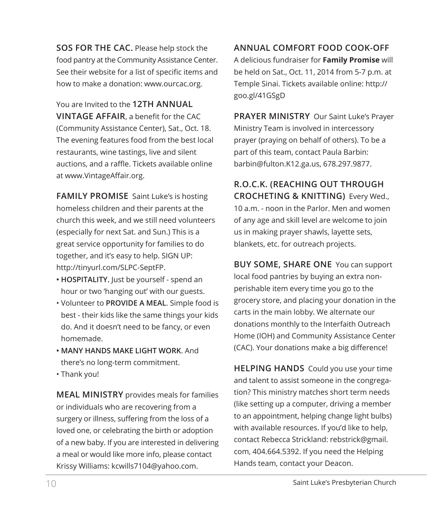**SOS FOR THE CAC.** Please help stock the food pantry at the Community Assistance Center. See their website for a list of specific items and how to make a donation: www.ourcac.org.

You are Invited to the **12TH ANNUAL VINTAGE AFFAIR**, a benefit for the CAC (Community Assistance Center), Sat., Oct. 18. The evening features food from the best local restaurants, wine tastings, live and silent auctions, and a raffle. Tickets available online at www.VintageAffair.org.

**FAMILY PROMISE** Saint Luke's is hosting homeless children and their parents at the church this week, and we still need volunteers (especially for next Sat. and Sun.) This is a great service opportunity for families to do together, and it's easy to help. SIGN UP: http://tinyurl.com/SLPC-SeptFP.

- **HOSPITALITY.** Just be yourself spend an hour or two 'hanging out' with our guests.
- Volunteer to **PROVIDE A MEAL**. Simple food is best - their kids like the same things your kids do. And it doesn't need to be fancy, or even homemade.
- **MANY HANDS MAKE LIGHT WORK**. And there's no long-term commitment.
- Thank you!

**MEAL MINISTRY** provides meals for families or individuals who are recovering from a surgery or illness, suffering from the loss of a loved one, or celebrating the birth or adoption of a new baby. If you are interested in delivering a meal or would like more info, please contact Krissy Williams: kcwills7104@yahoo.com.

**ANNUAL COMFORT FOOD COOK-OFF** A delicious fundraiser for **Family Promise** will be held on Sat., Oct. 11, 2014 from 5-7 p.m. at Temple Sinai. Tickets available online: http:// goo.gl/41GSgD

**PRAYER MINISTRY** Our Saint Luke's Prayer Ministry Team is involved in intercessory prayer (praying on behalf of others). To be a part of this team, contact Paula Barbin: barbin@fulton.K12.ga.us, 678.297.9877.

**R.O.C.K. (REACHING OUT THROUGH CROCHETING & KNITTING)** Every Wed., 10 a.m. - noon in the Parlor. Men and women of any age and skill level are welcome to join us in making prayer shawls, layette sets, blankets, etc. for outreach projects.

**BUY SOME, SHARE ONE** You can support local food pantries by buying an extra nonperishable item every time you go to the grocery store, and placing your donation in the carts in the main lobby. We alternate our donations monthly to the Interfaith Outreach Home (IOH) and Community Assistance Center (CAC). Your donations make a big difference!

**HELPING HANDS** Could you use your time and talent to assist someone in the congregation? This ministry matches short term needs (like setting up a computer, driving a member to an appointment, helping change light bulbs) with available resources. If you'd like to help, contact Rebecca Strickland: rebstrick@gmail. com, 404.664.5392. If you need the Helping Hands team, contact your Deacon.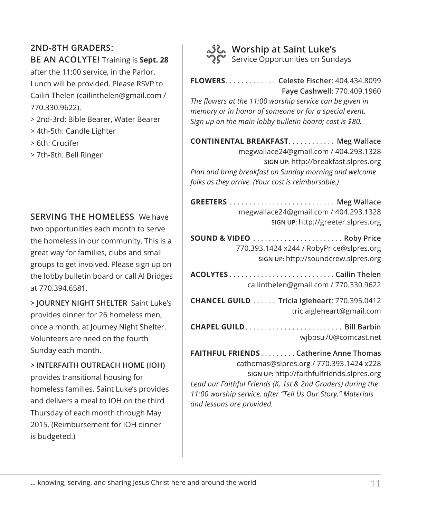#### **2ND-8TH GRADERS:**

#### **BE AN ACOLYTE!** Training is **Sept. 28**

after the 11:00 service, in the Parlor. Lunch will be provided. Please RSVP to Cailin Thelen (cailinthelen@gmail.com / 770.330.9622).

- > 2nd-3rd: Bible Bearer, Water Bearer
- > 4th-5th: Candle Lighter
- > 6th: Crucifer
- > 7th-8th: Bell Ringer

#### **SERVING THE HOMELESS** We have

two opportunities each month to serve the homeless in our community. This is a great way for families, clubs and small groups to get involved. Please sign up on the lobby bulletin board or call Al Bridges at 770.394.6581.

**> JOURNEY NIGHT SHELTER** Saint Luke's provides dinner for 26 homeless men, once a month, at Journey Night Shelter. Volunteers are need on the fourth Sunday each month.

**> INTERFAITH OUTREACH HOME (IOH)**  provides transitional housing for homeless families. Saint Luke's provides and delivers a meal to IOH on the third Thursday of each month through May 2015. (Reimbursement for IOH dinner is budgeted.)



#### **Worship at Saint Luke's** Service Opportunities on Sundays

**FLOWERS**. . **Celeste Fischer**: 404.434.8099 **Faye Cashwell**: 770.409.1960

*The flowers at the 11:00 worship service can be given in memory or in honor of someone or for a special event. Sign up on the main lobby bulletin board; cost is \$80.* 

**CONTINENTAL BREAKFAST. . . . . . . . . . . . Meg Wallace** megwallace24@gmail.com / 404.293.1328 **SIGN UP:** http://breakfast.slpres.org *Plan and bring breakfast on Sunday morning and welcome folks as they arrive. (Your cost is reimbursable.)* 

**GREETERS**. . **Meg Wallace** megwallace24@gmail.com / 404.293.1328 **SIGN UP:** http://greeter.slpres.org

**SOUND & VIDEO**. . **Roby Price** 770.393.1424 x244 / RobyPrice@slpres.org **SIGN UP:** http://soundcrew.slpres.org

**ACOLYTES**. **Cailin Thelen** cailinthelen@gmail.com / 770.330.9622

**CHANCEL GUILD**. . **Tricia Igleheart**: 770.395.0412 triciaigleheart@gmail.com

**CHAPEL GUILD......................... Bill Barbin** wjbpsu70@comcast.net

**FAITHFUL FRIENDS**. **Catherine Anne Thomas** cathomas@slpres.org / 770.393.1424 x228 **SIGN UP:** http://faithfulfriends.slpres.org *Lead our Faithful Friends (K, 1st & 2nd Graders) during the 11:00 worship service, after "Tell Us Our Story." Materials and lessons are provided.*